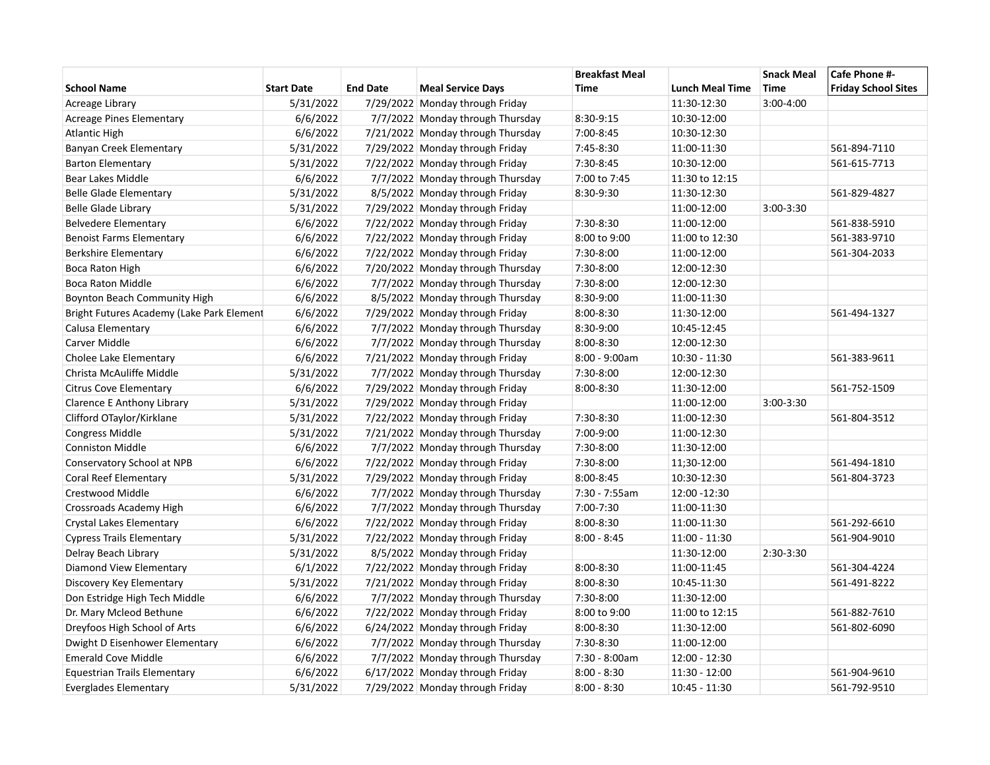|                                           |                   |                 |                                   | <b>Breakfast Meal</b> |                        | <b>Snack Meal</b> | Cafe Phone #-              |
|-------------------------------------------|-------------------|-----------------|-----------------------------------|-----------------------|------------------------|-------------------|----------------------------|
| <b>School Name</b>                        | <b>Start Date</b> | <b>End Date</b> | <b>Meal Service Days</b>          | Time                  | <b>Lunch Meal Time</b> | <b>Time</b>       | <b>Friday School Sites</b> |
| Acreage Library                           | 5/31/2022         |                 | 7/29/2022 Monday through Friday   |                       | 11:30-12:30            | $3:00-4:00$       |                            |
| <b>Acreage Pines Elementary</b>           | 6/6/2022          |                 | 7/7/2022 Monday through Thursday  | 8:30-9:15             | 10:30-12:00            |                   |                            |
| <b>Atlantic High</b>                      | 6/6/2022          |                 | 7/21/2022 Monday through Thursday | 7:00-8:45             | 10:30-12:30            |                   |                            |
| Banyan Creek Elementary                   | 5/31/2022         |                 | 7/29/2022 Monday through Friday   | 7:45-8:30             | 11:00-11:30            |                   | 561-894-7110               |
| <b>Barton Elementary</b>                  | 5/31/2022         |                 | 7/22/2022 Monday through Friday   | 7:30-8:45             | 10:30-12:00            |                   | 561-615-7713               |
| Bear Lakes Middle                         | 6/6/2022          |                 | 7/7/2022 Monday through Thursday  | 7:00 to 7:45          | 11:30 to 12:15         |                   |                            |
| <b>Belle Glade Elementary</b>             | 5/31/2022         |                 | 8/5/2022 Monday through Friday    | 8:30-9:30             | 11:30-12:30            |                   | 561-829-4827               |
| <b>Belle Glade Library</b>                | 5/31/2022         |                 | 7/29/2022 Monday through Friday   |                       | 11:00-12:00            | $3:00-3:30$       |                            |
| <b>Belvedere Elementary</b>               | 6/6/2022          |                 | 7/22/2022 Monday through Friday   | 7:30-8:30             | 11:00-12:00            |                   | 561-838-5910               |
| <b>Benoist Farms Elementary</b>           | 6/6/2022          |                 | 7/22/2022 Monday through Friday   | 8:00 to 9:00          | 11:00 to 12:30         |                   | 561-383-9710               |
| Berkshire Elementary                      | 6/6/2022          |                 | 7/22/2022 Monday through Friday   | 7:30-8:00             | 11:00-12:00            |                   | 561-304-2033               |
| Boca Raton High                           | 6/6/2022          |                 | 7/20/2022 Monday through Thursday | 7:30-8:00             | 12:00-12:30            |                   |                            |
| <b>Boca Raton Middle</b>                  | 6/6/2022          |                 | 7/7/2022 Monday through Thursday  | 7:30-8:00             | 12:00-12:30            |                   |                            |
| <b>Boynton Beach Community High</b>       | 6/6/2022          |                 | 8/5/2022 Monday through Thursday  | 8:30-9:00             | 11:00-11:30            |                   |                            |
| Bright Futures Academy (Lake Park Element | 6/6/2022          |                 | 7/29/2022 Monday through Friday   | $8:00 - 8:30$         | 11:30-12:00            |                   | 561-494-1327               |
| Calusa Elementary                         | 6/6/2022          |                 | 7/7/2022 Monday through Thursday  | 8:30-9:00             | 10:45-12:45            |                   |                            |
| Carver Middle                             | 6/6/2022          |                 | 7/7/2022 Monday through Thursday  | $8:00 - 8:30$         | 12:00-12:30            |                   |                            |
| Cholee Lake Elementary                    | 6/6/2022          |                 | 7/21/2022 Monday through Friday   | $8:00 - 9:00am$       | 10:30 - 11:30          |                   | 561-383-9611               |
| Christa McAuliffe Middle                  | 5/31/2022         |                 | 7/7/2022 Monday through Thursday  | 7:30-8:00             | 12:00-12:30            |                   |                            |
| Citrus Cove Elementary                    | 6/6/2022          |                 | 7/29/2022 Monday through Friday   | $8:00 - 8:30$         | 11:30-12:00            |                   | 561-752-1509               |
| Clarence E Anthony Library                | 5/31/2022         |                 | 7/29/2022 Monday through Friday   |                       | 11:00-12:00            | $3:00-3:30$       |                            |
| Clifford OTaylor/Kirklane                 | 5/31/2022         |                 | 7/22/2022 Monday through Friday   | 7:30-8:30             | 11:00-12:30            |                   | 561-804-3512               |
| Congress Middle                           | 5/31/2022         |                 | 7/21/2022 Monday through Thursday | 7:00-9:00             | 11:00-12:30            |                   |                            |
| <b>Conniston Middle</b>                   | 6/6/2022          |                 | 7/7/2022 Monday through Thursday  | 7:30-8:00             | 11:30-12:00            |                   |                            |
| Conservatory School at NPB                | 6/6/2022          |                 | 7/22/2022 Monday through Friday   | 7:30-8:00             | 11;30-12:00            |                   | 561-494-1810               |
| Coral Reef Elementary                     | 5/31/2022         |                 | 7/29/2022 Monday through Friday   | $8:00 - 8:45$         | 10:30-12:30            |                   | 561-804-3723               |
| Crestwood Middle                          | 6/6/2022          |                 | 7/7/2022 Monday through Thursday  | 7:30 - 7:55am         | 12:00 -12:30           |                   |                            |
| Crossroads Academy High                   | 6/6/2022          |                 | 7/7/2022 Monday through Thursday  | 7:00-7:30             | 11:00-11:30            |                   |                            |
| Crystal Lakes Elementary                  | 6/6/2022          |                 | 7/22/2022 Monday through Friday   | $8:00 - 8:30$         | 11:00-11:30            |                   | 561-292-6610               |
| <b>Cypress Trails Elementary</b>          | 5/31/2022         |                 | 7/22/2022 Monday through Friday   | $8:00 - 8:45$         | 11:00 - 11:30          |                   | 561-904-9010               |
| Delray Beach Library                      | 5/31/2022         |                 | 8/5/2022 Monday through Friday    |                       | 11:30-12:00            | 2:30-3:30         |                            |
| Diamond View Elementary                   | 6/1/2022          |                 | 7/22/2022 Monday through Friday   | 8:00-8:30             | 11:00-11:45            |                   | 561-304-4224               |
| Discovery Key Elementary                  | 5/31/2022         |                 | 7/21/2022 Monday through Friday   | $8:00 - 8:30$         | 10:45-11:30            |                   | 561-491-8222               |
| Don Estridge High Tech Middle             | 6/6/2022          |                 | 7/7/2022 Monday through Thursday  | 7:30-8:00             | 11:30-12:00            |                   |                            |
| Dr. Mary Mcleod Bethune                   | 6/6/2022          |                 | 7/22/2022 Monday through Friday   | 8:00 to 9:00          | 11:00 to 12:15         |                   | 561-882-7610               |
| Dreyfoos High School of Arts              | 6/6/2022          |                 | 6/24/2022 Monday through Friday   | 8:00-8:30             | 11:30-12:00            |                   | 561-802-6090               |
| Dwight D Eisenhower Elementary            | 6/6/2022          |                 | 7/7/2022 Monday through Thursday  | 7:30-8:30             | 11:00-12:00            |                   |                            |
| <b>Emerald Cove Middle</b>                | 6/6/2022          |                 | 7/7/2022 Monday through Thursday  | 7:30 - 8:00am         | 12:00 - 12:30          |                   |                            |
| <b>Equestrian Trails Elementary</b>       | 6/6/2022          |                 | 6/17/2022 Monday through Friday   | $8:00 - 8:30$         | $11:30 - 12:00$        |                   | 561-904-9610               |
| Everglades Elementary                     | 5/31/2022         |                 | 7/29/2022 Monday through Friday   | $8:00 - 8:30$         | 10:45 - 11:30          |                   | 561-792-9510               |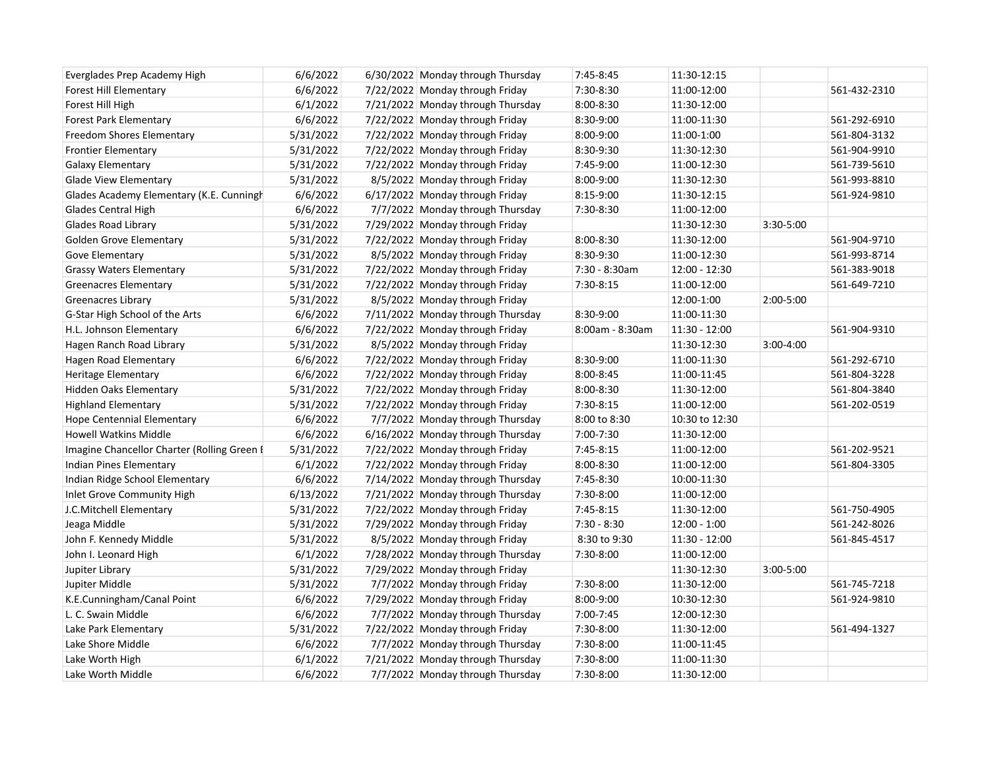| Everglades Prep Academy High                | 6/6/2022  | 6/30/2022 Monday through Thursday | 7:45-8:45       | 11:30-12:15    |               |              |
|---------------------------------------------|-----------|-----------------------------------|-----------------|----------------|---------------|--------------|
| Forest Hill Elementary                      | 6/6/2022  | 7/22/2022 Monday through Friday   | 7:30-8:30       | 11:00-12:00    |               | 561-432-2310 |
| Forest Hill High                            | 6/1/2022  | 7/21/2022 Monday through Thursday | 8:00-8:30       | 11:30-12:00    |               |              |
| <b>Forest Park Elementary</b>               | 6/6/2022  | 7/22/2022 Monday through Friday   | 8:30-9:00       | 11:00-11:30    |               | 561-292-6910 |
| Freedom Shores Elementary                   | 5/31/2022 | 7/22/2022 Monday through Friday   | 8:00-9:00       | 11:00-1:00     |               | 561-804-3132 |
| <b>Frontier Elementary</b>                  | 5/31/2022 | 7/22/2022 Monday through Friday   | 8:30-9:30       | 11:30-12:30    |               | 561-904-9910 |
| Galaxy Elementary                           | 5/31/2022 | 7/22/2022 Monday through Friday   | 7:45-9:00       | 11:00-12:30    |               | 561-739-5610 |
| <b>Glade View Elementary</b>                | 5/31/2022 | 8/5/2022 Monday through Friday    | 8:00-9:00       | 11:30-12:30    |               | 561-993-8810 |
| Glades Academy Elementary (K.E. Cunningh    | 6/6/2022  | 6/17/2022 Monday through Friday   | 8:15-9:00       | 11:30-12:15    |               | 561-924-9810 |
| Glades Central High                         | 6/6/2022  | 7/7/2022 Monday through Thursday  | 7:30-8:30       | 11:00-12:00    |               |              |
| Glades Road Library                         | 5/31/2022 | 7/29/2022 Monday through Friday   |                 | 11:30-12:30    | 3:30-5:00     |              |
| <b>Golden Grove Elementary</b>              | 5/31/2022 | 7/22/2022 Monday through Friday   | 8:00-8:30       | 11:30-12:00    |               | 561-904-9710 |
| Gove Elementary                             | 5/31/2022 | 8/5/2022 Monday through Friday    | 8:30-9:30       | 11:00-12:30    |               | 561-993-8714 |
| <b>Grassy Waters Elementary</b>             | 5/31/2022 | 7/22/2022 Monday through Friday   | 7:30 - 8:30am   | 12:00 - 12:30  |               | 561-383-9018 |
| <b>Greenacres Elementary</b>                | 5/31/2022 | 7/22/2022 Monday through Friday   | 7:30-8:15       | 11:00-12:00    |               | 561-649-7210 |
| Greenacres Library                          | 5/31/2022 | 8/5/2022 Monday through Friday    |                 | 12:00-1:00     | 2:00-5:00     |              |
| G-Star High School of the Arts              | 6/6/2022  | 7/11/2022 Monday through Thursday | 8:30-9:00       | 11:00-11:30    |               |              |
| H.L. Johnson Elementary                     | 6/6/2022  | 7/22/2022 Monday through Friday   | 8:00am - 8:30am | 11:30 - 12:00  |               | 561-904-9310 |
| Hagen Ranch Road Library                    | 5/31/2022 | 8/5/2022 Monday through Friday    |                 | 11:30-12:30    | $3:00 - 4:00$ |              |
| Hagen Road Elementary                       | 6/6/2022  | 7/22/2022 Monday through Friday   | 8:30-9:00       | 11:00-11:30    |               | 561-292-6710 |
| Heritage Elementary                         | 6/6/2022  | 7/22/2022 Monday through Friday   | 8:00-8:45       | 11:00-11:45    |               | 561-804-3228 |
| <b>Hidden Oaks Elementary</b>               | 5/31/2022 | 7/22/2022 Monday through Friday   | $8:00 - 8:30$   | 11:30-12:00    |               | 561-804-3840 |
| <b>Highland Elementary</b>                  | 5/31/2022 | 7/22/2022 Monday through Friday   | 7:30-8:15       | 11:00-12:00    |               | 561-202-0519 |
| <b>Hope Centennial Elementary</b>           | 6/6/2022  | 7/7/2022 Monday through Thursday  | 8:00 to 8:30    | 10:30 to 12:30 |               |              |
| Howell Watkins Middle                       | 6/6/2022  | 6/16/2022 Monday through Thursday | 7:00-7:30       | 11:30-12:00    |               |              |
| Imagine Chancellor Charter (Rolling Green E | 5/31/2022 | 7/22/2022 Monday through Friday   | 7:45-8:15       | 11:00-12:00    |               | 561-202-9521 |
| Indian Pines Elementary                     | 6/1/2022  | 7/22/2022 Monday through Friday   | 8:00-8:30       | 11:00-12:00    |               | 561-804-3305 |
| Indian Ridge School Elementary              | 6/6/2022  | 7/14/2022 Monday through Thursday | 7:45-8:30       | 10:00-11:30    |               |              |
| Inlet Grove Community High                  | 6/13/2022 | 7/21/2022 Monday through Thursday | 7:30-8:00       | 11:00-12:00    |               |              |
| J.C.Mitchell Elementary                     | 5/31/2022 | 7/22/2022 Monday through Friday   | 7:45-8:15       | 11:30-12:00    |               | 561-750-4905 |
| Jeaga Middle                                | 5/31/2022 | 7/29/2022 Monday through Friday   | $7:30 - 8:30$   | $12:00 - 1:00$ |               | 561-242-8026 |
| John F. Kennedy Middle                      | 5/31/2022 | 8/5/2022 Monday through Friday    | 8:30 to 9:30    | 11:30 - 12:00  |               | 561-845-4517 |
| John I. Leonard High                        | 6/1/2022  | 7/28/2022 Monday through Thursday | 7:30-8:00       | 11:00-12:00    |               |              |
| Jupiter Library                             | 5/31/2022 | 7/29/2022 Monday through Friday   |                 | 11:30-12:30    | $3:00 - 5:00$ |              |
| Jupiter Middle                              | 5/31/2022 | 7/7/2022 Monday through Friday    | 7:30-8:00       | 11:30-12:00    |               | 561-745-7218 |
| K.E.Cunningham/Canal Point                  | 6/6/2022  | 7/29/2022 Monday through Friday   | 8:00-9:00       | 10:30-12:30    |               | 561-924-9810 |
| L. C. Swain Middle                          | 6/6/2022  | 7/7/2022 Monday through Thursday  | 7:00-7:45       | 12:00-12:30    |               |              |
| Lake Park Elementary                        | 5/31/2022 | 7/22/2022 Monday through Friday   | 7:30-8:00       | 11:30-12:00    |               | 561-494-1327 |
| Lake Shore Middle                           | 6/6/2022  | 7/7/2022 Monday through Thursday  | 7:30-8:00       | 11:00-11:45    |               |              |
| Lake Worth High                             | 6/1/2022  | 7/21/2022 Monday through Thursday | 7:30-8:00       | 11:00-11:30    |               |              |
| Lake Worth Middle                           | 6/6/2022  | 7/7/2022 Monday through Thursday  | 7:30-8:00       | 11:30-12:00    |               |              |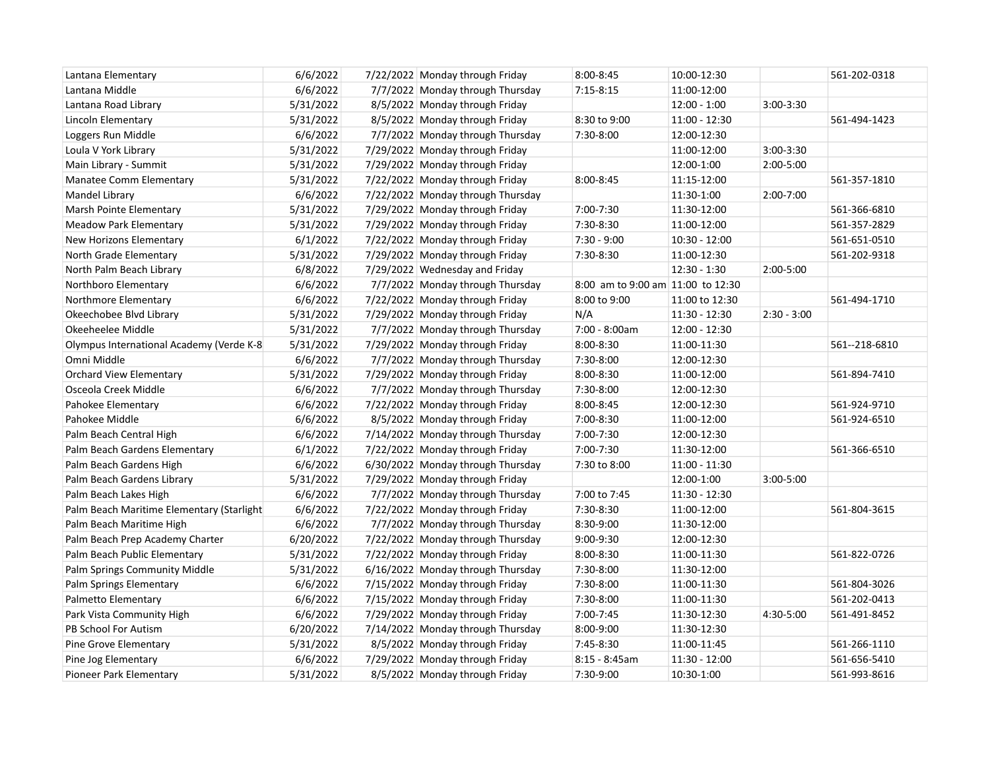| Lantana Elementary                        | 6/6/2022  | 7/22/2022 Monday through Friday   | 8:00-8:45                         | 10:00-12:30     |               | 561-202-0318  |
|-------------------------------------------|-----------|-----------------------------------|-----------------------------------|-----------------|---------------|---------------|
| Lantana Middle                            | 6/6/2022  | 7/7/2022 Monday through Thursday  | $7:15-8:15$                       | 11:00-12:00     |               |               |
| Lantana Road Library                      | 5/31/2022 | 8/5/2022 Monday through Friday    |                                   | $12:00 - 1:00$  | $3:00-3:30$   |               |
| Lincoln Elementary                        | 5/31/2022 | 8/5/2022 Monday through Friday    | 8:30 to 9:00                      | $11:00 - 12:30$ |               | 561-494-1423  |
| Loggers Run Middle                        | 6/6/2022  | 7/7/2022 Monday through Thursday  | 7:30-8:00                         | 12:00-12:30     |               |               |
| Loula V York Library                      | 5/31/2022 | 7/29/2022 Monday through Friday   |                                   | 11:00-12:00     | $3:00-3:30$   |               |
| Main Library - Summit                     | 5/31/2022 | 7/29/2022 Monday through Friday   |                                   | 12:00-1:00      | 2:00-5:00     |               |
| <b>Manatee Comm Elementary</b>            | 5/31/2022 | 7/22/2022 Monday through Friday   | 8:00-8:45                         | 11:15-12:00     |               | 561-357-1810  |
| Mandel Library                            | 6/6/2022  | 7/22/2022 Monday through Thursday |                                   | 11:30-1:00      | $2:00 - 7:00$ |               |
| Marsh Pointe Elementary                   | 5/31/2022 | 7/29/2022 Monday through Friday   | 7:00-7:30                         | 11:30-12:00     |               | 561-366-6810  |
| <b>Meadow Park Elementary</b>             | 5/31/2022 | 7/29/2022 Monday through Friday   | 7:30-8:30                         | 11:00-12:00     |               | 561-357-2829  |
| New Horizons Elementary                   | 6/1/2022  | 7/22/2022 Monday through Friday   | $7:30 - 9:00$                     | 10:30 - 12:00   |               | 561-651-0510  |
| North Grade Elementary                    | 5/31/2022 | 7/29/2022 Monday through Friday   | 7:30-8:30                         | 11:00-12:30     |               | 561-202-9318  |
| North Palm Beach Library                  | 6/8/2022  | 7/29/2022 Wednesday and Friday    |                                   | $12:30 - 1:30$  | 2:00-5:00     |               |
| Northboro Elementary                      | 6/6/2022  | 7/7/2022 Monday through Thursday  | 8:00 am to 9:00 am 11:00 to 12:30 |                 |               |               |
| Northmore Elementary                      | 6/6/2022  | 7/22/2022 Monday through Friday   | 8:00 to 9:00                      | 11:00 to 12:30  |               | 561-494-1710  |
| Okeechobee Blvd Library                   | 5/31/2022 | 7/29/2022 Monday through Friday   | N/A                               | 11:30 - 12:30   | $2:30 - 3:00$ |               |
| Okeeheelee Middle                         | 5/31/2022 | 7/7/2022 Monday through Thursday  | 7:00 - 8:00am                     | 12:00 - 12:30   |               |               |
| Olympus International Academy (Verde K-8  | 5/31/2022 | 7/29/2022 Monday through Friday   | 8:00-8:30                         | 11:00-11:30     |               | 561--218-6810 |
| Omni Middle                               | 6/6/2022  | 7/7/2022 Monday through Thursday  | 7:30-8:00                         | 12:00-12:30     |               |               |
| <b>Orchard View Elementary</b>            | 5/31/2022 | 7/29/2022 Monday through Friday   | 8:00-8:30                         | 11:00-12:00     |               | 561-894-7410  |
| Osceola Creek Middle                      | 6/6/2022  | 7/7/2022 Monday through Thursday  | 7:30-8:00                         | 12:00-12:30     |               |               |
| Pahokee Elementary                        | 6/6/2022  | 7/22/2022 Monday through Friday   | 8:00-8:45                         | 12:00-12:30     |               | 561-924-9710  |
| Pahokee Middle                            | 6/6/2022  | 8/5/2022 Monday through Friday    | 7:00-8:30                         | 11:00-12:00     |               | 561-924-6510  |
| Palm Beach Central High                   | 6/6/2022  | 7/14/2022 Monday through Thursday | 7:00-7:30                         | 12:00-12:30     |               |               |
| Palm Beach Gardens Elementary             | 6/1/2022  | 7/22/2022 Monday through Friday   | 7:00-7:30                         | 11:30-12:00     |               | 561-366-6510  |
| Palm Beach Gardens High                   | 6/6/2022  | 6/30/2022 Monday through Thursday | 7:30 to 8:00                      | $11:00 - 11:30$ |               |               |
| Palm Beach Gardens Library                | 5/31/2022 | 7/29/2022 Monday through Friday   |                                   | 12:00-1:00      | 3:00-5:00     |               |
| Palm Beach Lakes High                     | 6/6/2022  | 7/7/2022 Monday through Thursday  | 7:00 to 7:45                      | 11:30 - 12:30   |               |               |
| Palm Beach Maritime Elementary (Starlight | 6/6/2022  | 7/22/2022 Monday through Friday   | 7:30-8:30                         | 11:00-12:00     |               | 561-804-3615  |
| Palm Beach Maritime High                  | 6/6/2022  | 7/7/2022 Monday through Thursday  | 8:30-9:00                         | 11:30-12:00     |               |               |
| Palm Beach Prep Academy Charter           | 6/20/2022 | 7/22/2022 Monday through Thursday | 9:00-9:30                         | 12:00-12:30     |               |               |
| Palm Beach Public Elementary              | 5/31/2022 | 7/22/2022 Monday through Friday   | 8:00-8:30                         | 11:00-11:30     |               | 561-822-0726  |
| Palm Springs Community Middle             | 5/31/2022 | 6/16/2022 Monday through Thursday | 7:30-8:00                         | 11:30-12:00     |               |               |
| Palm Springs Elementary                   | 6/6/2022  | 7/15/2022 Monday through Friday   | 7:30-8:00                         | 11:00-11:30     |               | 561-804-3026  |
| Palmetto Elementary                       | 6/6/2022  | 7/15/2022 Monday through Friday   | 7:30-8:00                         | 11:00-11:30     |               | 561-202-0413  |
| Park Vista Community High                 | 6/6/2022  | 7/29/2022 Monday through Friday   | 7:00-7:45                         | 11:30-12:30     | 4:30-5:00     | 561-491-8452  |
| PB School For Autism                      | 6/20/2022 | 7/14/2022 Monday through Thursday | 8:00-9:00                         | 11:30-12:30     |               |               |
| Pine Grove Elementary                     | 5/31/2022 | 8/5/2022 Monday through Friday    | 7:45-8:30                         | 11:00-11:45     |               | 561-266-1110  |
| Pine Jog Elementary                       | 6/6/2022  | 7/29/2022 Monday through Friday   | $8:15 - 8:45am$                   | 11:30 - 12:00   |               | 561-656-5410  |
| Pioneer Park Elementary                   | 5/31/2022 | 8/5/2022 Monday through Friday    | 7:30-9:00                         | 10:30-1:00      |               | 561-993-8616  |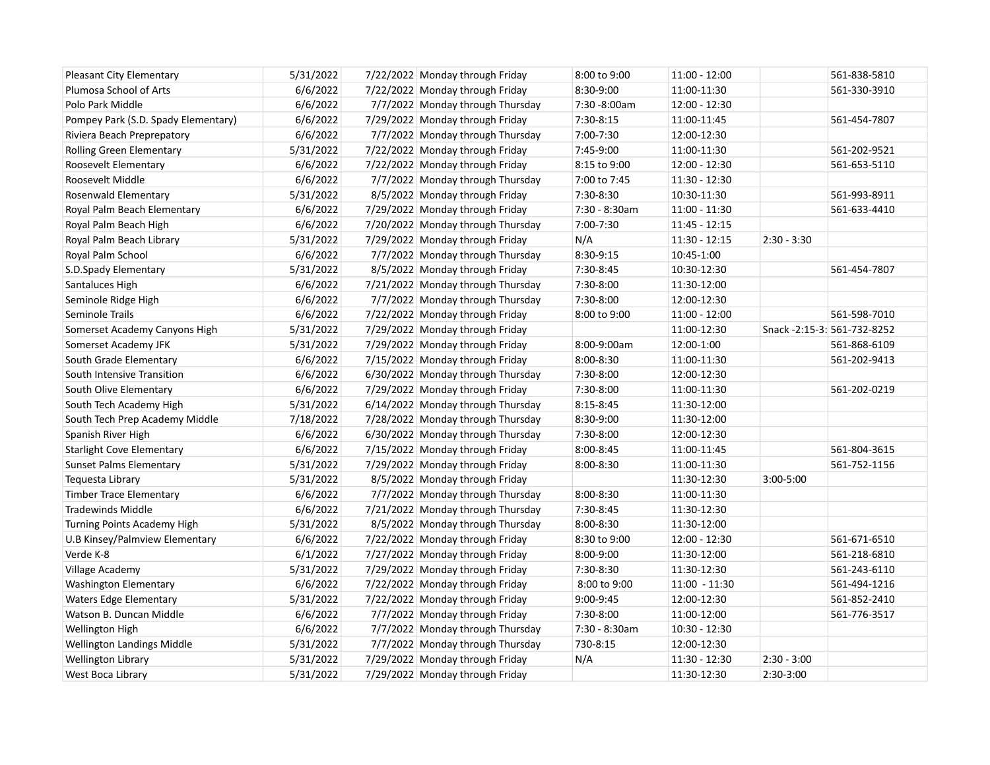| <b>Pleasant City Elementary</b>     | 5/31/2022 | 7/22/2022 Monday through Friday   | 8:00 to 9:00  | $11:00 - 12:00$ |               | 561-838-5810                |
|-------------------------------------|-----------|-----------------------------------|---------------|-----------------|---------------|-----------------------------|
| Plumosa School of Arts              | 6/6/2022  | 7/22/2022 Monday through Friday   | 8:30-9:00     | 11:00-11:30     |               | 561-330-3910                |
| Polo Park Middle                    | 6/6/2022  | 7/7/2022 Monday through Thursday  | 7:30 -8:00am  | 12:00 - 12:30   |               |                             |
| Pompey Park (S.D. Spady Elementary) | 6/6/2022  | 7/29/2022 Monday through Friday   | 7:30-8:15     | 11:00-11:45     |               | 561-454-7807                |
| Riviera Beach Preprepatory          | 6/6/2022  | 7/7/2022 Monday through Thursday  | 7:00-7:30     | 12:00-12:30     |               |                             |
| <b>Rolling Green Elementary</b>     | 5/31/2022 | 7/22/2022 Monday through Friday   | 7:45-9:00     | 11:00-11:30     |               | 561-202-9521                |
| Roosevelt Elementary                | 6/6/2022  | 7/22/2022 Monday through Friday   | 8:15 to 9:00  | 12:00 - 12:30   |               | 561-653-5110                |
| Roosevelt Middle                    | 6/6/2022  | 7/7/2022 Monday through Thursday  | 7:00 to 7:45  | 11:30 - 12:30   |               |                             |
| Rosenwald Elementary                | 5/31/2022 | 8/5/2022 Monday through Friday    | 7:30-8:30     | 10:30-11:30     |               | 561-993-8911                |
| Royal Palm Beach Elementary         | 6/6/2022  | 7/29/2022 Monday through Friday   | 7:30 - 8:30am | $11:00 - 11:30$ |               | 561-633-4410                |
| Royal Palm Beach High               | 6/6/2022  | 7/20/2022 Monday through Thursday | 7:00-7:30     | $11:45 - 12:15$ |               |                             |
| Royal Palm Beach Library            | 5/31/2022 | 7/29/2022 Monday through Friday   | N/A           | $11:30 - 12:15$ | $2:30 - 3:30$ |                             |
| Royal Palm School                   | 6/6/2022  | 7/7/2022 Monday through Thursday  | 8:30-9:15     | 10:45-1:00      |               |                             |
| S.D.Spady Elementary                | 5/31/2022 | 8/5/2022 Monday through Friday    | 7:30-8:45     | 10:30-12:30     |               | 561-454-7807                |
| Santaluces High                     | 6/6/2022  | 7/21/2022 Monday through Thursday | 7:30-8:00     | 11:30-12:00     |               |                             |
| Seminole Ridge High                 | 6/6/2022  | 7/7/2022 Monday through Thursday  | 7:30-8:00     | 12:00-12:30     |               |                             |
| Seminole Trails                     | 6/6/2022  | 7/22/2022 Monday through Friday   | 8:00 to 9:00  | 11:00 - 12:00   |               | 561-598-7010                |
| Somerset Academy Canyons High       | 5/31/2022 | 7/29/2022 Monday through Friday   |               | 11:00-12:30     |               | Snack -2:15-3: 561-732-8252 |
| Somerset Academy JFK                | 5/31/2022 | 7/29/2022 Monday through Friday   | 8:00-9:00am   | 12:00-1:00      |               | 561-868-6109                |
| South Grade Elementary              | 6/6/2022  | 7/15/2022 Monday through Friday   | 8:00-8:30     | 11:00-11:30     |               | 561-202-9413                |
| South Intensive Transition          | 6/6/2022  | 6/30/2022 Monday through Thursday | 7:30-8:00     | 12:00-12:30     |               |                             |
| South Olive Elementary              | 6/6/2022  | 7/29/2022 Monday through Friday   | 7:30-8:00     | 11:00-11:30     |               | 561-202-0219                |
| South Tech Academy High             | 5/31/2022 | 6/14/2022 Monday through Thursday | 8:15-8:45     | 11:30-12:00     |               |                             |
| South Tech Prep Academy Middle      | 7/18/2022 | 7/28/2022 Monday through Thursday | 8:30-9:00     | 11:30-12:00     |               |                             |
| Spanish River High                  | 6/6/2022  | 6/30/2022 Monday through Thursday | 7:30-8:00     | 12:00-12:30     |               |                             |
| <b>Starlight Cove Elementary</b>    | 6/6/2022  | 7/15/2022 Monday through Friday   | 8:00-8:45     | 11:00-11:45     |               | 561-804-3615                |
| <b>Sunset Palms Elementary</b>      | 5/31/2022 | 7/29/2022 Monday through Friday   | 8:00-8:30     | 11:00-11:30     |               | 561-752-1156                |
| Tequesta Library                    | 5/31/2022 | 8/5/2022 Monday through Friday    |               | 11:30-12:30     | 3:00-5:00     |                             |
| <b>Timber Trace Elementary</b>      | 6/6/2022  | 7/7/2022 Monday through Thursday  | 8:00-8:30     | 11:00-11:30     |               |                             |
| <b>Tradewinds Middle</b>            | 6/6/2022  | 7/21/2022 Monday through Thursday | 7:30-8:45     | 11:30-12:30     |               |                             |
| Turning Points Academy High         | 5/31/2022 | 8/5/2022 Monday through Thursday  | 8:00-8:30     | 11:30-12:00     |               |                             |
| U.B Kinsey/Palmview Elementary      | 6/6/2022  | 7/22/2022 Monday through Friday   | 8:30 to 9:00  | 12:00 - 12:30   |               | 561-671-6510                |
| Verde K-8                           | 6/1/2022  | 7/27/2022 Monday through Friday   | 8:00-9:00     | 11:30-12:00     |               | 561-218-6810                |
| Village Academy                     | 5/31/2022 | 7/29/2022 Monday through Friday   | 7:30-8:30     | 11:30-12:30     |               | 561-243-6110                |
| <b>Washington Elementary</b>        | 6/6/2022  | 7/22/2022 Monday through Friday   | 8:00 to 9:00  | 11:00 - 11:30   |               | 561-494-1216                |
| <b>Waters Edge Elementary</b>       | 5/31/2022 | 7/22/2022 Monday through Friday   | 9:00-9:45     | 12:00-12:30     |               | 561-852-2410                |
| Watson B. Duncan Middle             | 6/6/2022  | 7/7/2022 Monday through Friday    | 7:30-8:00     | 11:00-12:00     |               | 561-776-3517                |
| Wellington High                     | 6/6/2022  | 7/7/2022 Monday through Thursday  | 7:30 - 8:30am | $10:30 - 12:30$ |               |                             |
| Wellington Landings Middle          | 5/31/2022 | 7/7/2022 Monday through Thursday  | 730-8:15      | 12:00-12:30     |               |                             |
| <b>Wellington Library</b>           | 5/31/2022 | 7/29/2022 Monday through Friday   | N/A           | 11:30 - 12:30   | $2:30 - 3:00$ |                             |
| West Boca Library                   | 5/31/2022 | 7/29/2022 Monday through Friday   |               | 11:30-12:30     | 2:30-3:00     |                             |